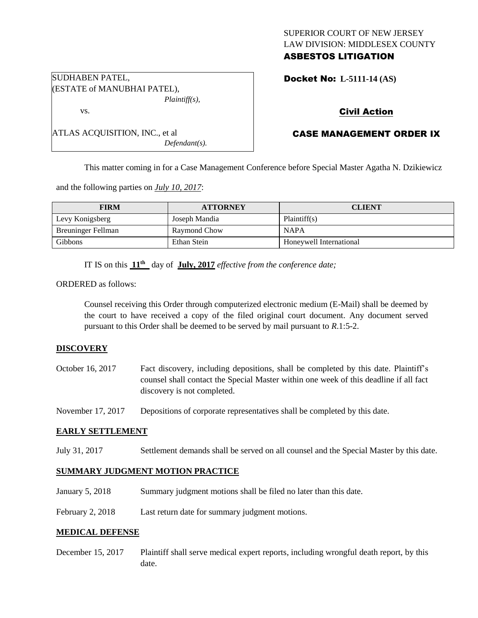# SUPERIOR COURT OF NEW JERSEY LAW DIVISION: MIDDLESEX COUNTY ASBESTOS LITIGATION

Docket No: **L-5111-14 (AS)** 

# Civil Action

# CASE MANAGEMENT ORDER IX

This matter coming in for a Case Management Conference before Special Master Agatha N. Dzikiewicz

and the following parties on *July 10, 2017*:

| <b>FIRM</b>               | <b>ATTORNEY</b> | <b>CLIENT</b>           |
|---------------------------|-----------------|-------------------------|
| Levy Konigsberg           | Joseph Mandia   | Plaintiff(s)            |
| <b>Breuninger Fellman</b> | Raymond Chow    | <b>NAPA</b>             |
| <b>Gibbons</b>            | Ethan Stein     | Honeywell International |

IT IS on this **11th** day of **July, 2017** *effective from the conference date;*

*Defendant(s).*

ORDERED as follows:

Counsel receiving this Order through computerized electronic medium (E-Mail) shall be deemed by the court to have received a copy of the filed original court document. Any document served pursuant to this Order shall be deemed to be served by mail pursuant to *R*.1:5-2.

## **DISCOVERY**

October 16, 2017 Fact discovery, including depositions, shall be completed by this date. Plaintiff's counsel shall contact the Special Master within one week of this deadline if all fact discovery is not completed.

November 17, 2017 Depositions of corporate representatives shall be completed by this date.

## **EARLY SETTLEMENT**

July 31, 2017 Settlement demands shall be served on all counsel and the Special Master by this date.

## **SUMMARY JUDGMENT MOTION PRACTICE**

- January 5, 2018 Summary judgment motions shall be filed no later than this date.
- February 2, 2018 Last return date for summary judgment motions.

#### **MEDICAL DEFENSE**

December 15, 2017 Plaintiff shall serve medical expert reports, including wrongful death report, by this date.

SUDHABEN PATEL, (ESTATE of MANUBHAI PATEL), *Plaintiff(s),*

ATLAS ACQUISITION, INC., et al

vs.